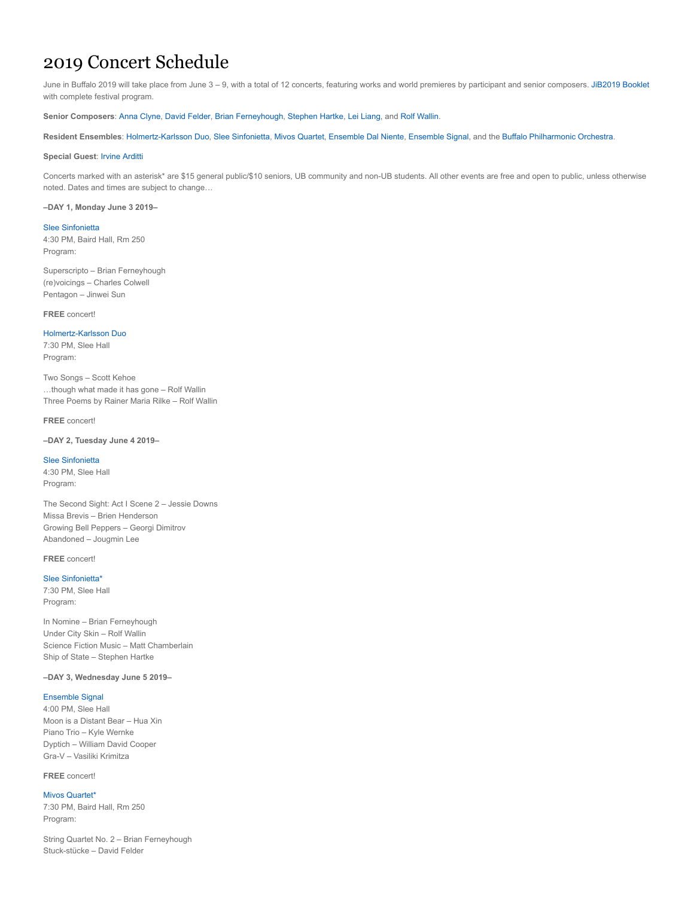# 2019 Concert Schedule

June in Buffalo 2019 will take place from June 3 - 9, with a total of 12 concerts, featuring works and world premieres by participant and senior composers. [JiB2019 Booklet](http://wordpress.caset.buffalo.edu/center21c/wp-content/uploads/sites/6/2019/05/JIB2019-Booklet-INSIDE-INDIVIDUAL-PAGES-FINAL-EDIT-5-28-19.pdf) with complete festival program.

**Senior Composers**: [Anna Clyne,](http://www.annaclyne.com/) [David Felder,](http://www.david-felder.com/) [Brian Ferneyhough,](https://en.wikipedia.org/wiki/Brian_Ferneyhough) [Stephen Hartke](http://www.stephenhartke.com/), [Lei Liang,](https://sites.google.com/site/leiliangcomposer2/) and [Rolf Wallin](http://www.rolfwallin.org/).

**Resident Ensembles**: [Holmertz-Karlsson Duo,](http://www.karlsson-holmertz.com/Karlsson-Holmertz_website/Bio.html) [Slee Sinfonietta](https://music21c.buffalo.edu/slee-sinfonietta/), [Mivos Quartet](https://www.mivosquartet.com/), [Ensemble Dal Niente,](http://www.dalniente.com/) [Ensemble Signal](https://signalensemble.org/), and the [Buffalo Philharmonic Orchestra](https://bpo.org/).

# **Special Guest**: [Irvine Arditti](http://www.ardittiquartet.co.uk/biogirv.htm)

Concerts marked with an asterisk\* are \$15 general public/\$10 seniors, UB community and non-UB students. All other events are free and open to public, unless otherwise noted. Dates and times are subject to change…

#### **–DAY 1, Monday June 3 2019–**

## [Slee Sinfonietta](https://calendar.buffalo.edu/event/june-in-buffalo-day-1-slee-sinfonietta/)

4:30 PM, Baird Hall, Rm 250 Program:

Superscripto – Brian Ferneyhough (re)voicings – Charles Colwell Pentagon – Jinwei Sun

**FREE** concert!

# [Holmertz-Karlsson Duo](https://calendar.buffalo.edu/event/june-in-buffalo-day-1-holmertz-karlsson-duo/)

7:30 PM, Slee Hall Program:

Two Songs – Scott Kehoe …though what made it has gone – Rolf Wallin Three Poems by Rainer Maria Rilke – Rolf Wallin

#### **FREE** concert!

# **–DAY 2, Tuesday June 4 2019–**

# [Slee Sinfonietta](https://calendar.buffalo.edu/event/june-in-buffalo-day-2-slee-sinfonietta/)

4:30 PM, Slee Hall Program:

The Second Sight: Act I Scene 2 – Jessie Downs Missa Brevis – Brien Henderson Growing Bell Peppers – Georgi Dimitrov Abandoned – Jougmin Lee

## **FREE** concert!

# [Slee Sinfonietta\\*](https://calendar.buffalo.edu/event/june-in-buffalo-day-2-slee-sinfonietta-1/) 7:30 PM, Slee Hall Program:

In Nomine – Brian Ferneyhough Under City Skin – Rolf Wallin Science Fiction Music – Matt Chamberlain Ship of State – Stephen Hartke

## **–DAY 3, Wednesday June 5 2019–**

# [Ensemble Signal](https://calendar.buffalo.edu/event/june-in-buffalo-day-3-ensemble-signal/)

4:00 PM, Slee Hall Moon is a Distant Bear – Hua Xin Piano Trio – Kyle Wernke Dyptich – William David Cooper Gra-V – Vasiliki Krimitza

## **FREE** concert!

## [Mivos Quartet\\*](https://calendar.buffalo.edu/event/june-in-buffalo-day-3-mivos-quartet/)

7:30 PM, Baird Hall, Rm 250 Program:

String Quartet No. 2 – Brian Ferneyhough Stuck-stücke – David Felder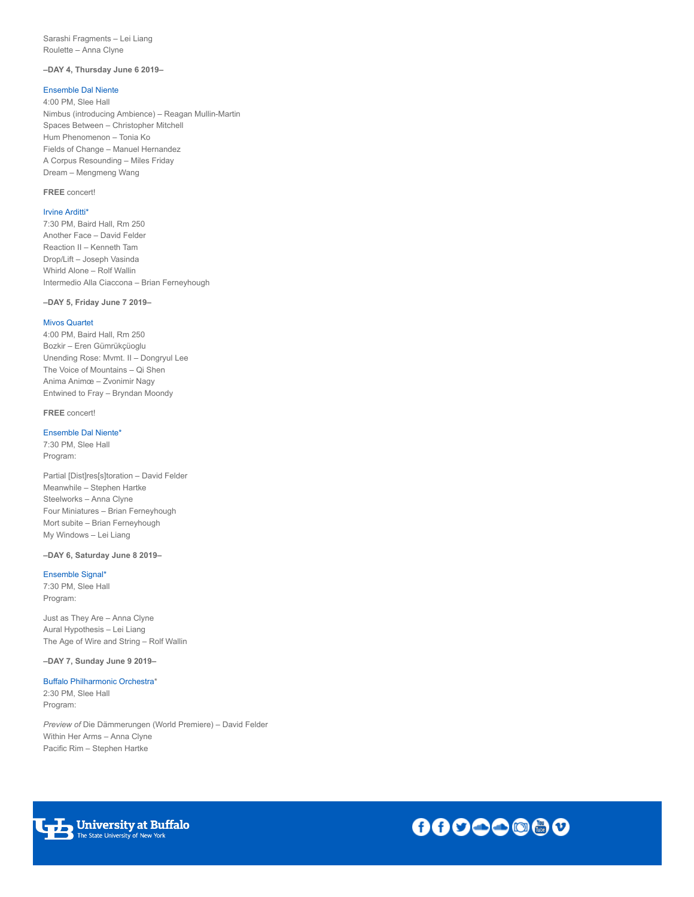Sarashi Fragments – Lei Liang Roulette – Anna Clyne

# **–DAY 4, Thursday June 6 2019–**

# [Ensemble Dal Niente](https://calendar.buffalo.edu/event/june-in-buffalo-day-4-ensemble-dal-niente/)

4:00 PM, Slee Hall Nimbus (introducing Ambience) – Reagan Mullin-Martin Spaces Between – Christopher Mitchell Hum Phenomenon – Tonia Ko Fields of Change – Manuel Hernandez A Corpus Resounding – Miles Friday Dream – Mengmeng Wang

# **FREE** concert!

## [Irvine Arditti\\*](https://calendar.buffalo.edu/event/june-in-buffalo-day-4-irvine-arditti/)

7:30 PM, Baird Hall, Rm 250 Another Face – David Felder Reaction II – Kenneth Tam Drop/Lift – Joseph Vasinda Whirld Alone – Rolf Wallin Intermedio Alla Ciaccona – Brian Ferneyhough

#### **–DAY 5, Friday June 7 2019–**

#### [Mivos Quartet](https://calendar.buffalo.edu/event/june-in-buffalo-day-5-mivos-quartet/)

4:00 PM, Baird Hall, Rm 250 Bozkir – Eren Gümrükçüoglu Unending Rose: Mvmt. II – Dongryul Lee The Voice of Mountains – Qi Shen Anima Animœ – Zvonimir Nagy Entwined to Fray – Bryndan Moondy

### **FREE** concert!

#### [Ensemble Dal Niente\\*](https://calendar.buffalo.edu/event/june-in-buffalo-day-5-ensemble-dal-niente/)

7:30 PM, Slee Hall Program:

Partial [Dist]res[s]toration – David Felder Meanwhile – Stephen Hartke Steelworks – Anna Clyne Four Miniatures – Brian Ferneyhough Mort subite – Brian Ferneyhough My Windows – Lei Liang

# **–DAY 6, Saturday June 8 2019–**

# [Ensemble Signal\\*](https://calendar.buffalo.edu/event/june-in-buffalo-day-6-ensemble-signal/)

7:30 PM, Slee Hall Program:

Just as They Are – Anna Clyne Aural Hypothesis – Lei Liang The Age of Wire and String – Rolf Wallin

**–DAY 7, Sunday June 9 2019–**

## [Buffalo Philharmonic Orchestra](https://calendar.buffalo.edu/event/june-in-buffalo-day-7-buffalo-philharmonic-orchestra/)\*

2:30 PM, Slee Hall Program:

*Preview of* Die Dämmerungen (World Premiere) – David Felder Within Her Arms – Anna Clyne Pacific Rim – Stephen Hartke